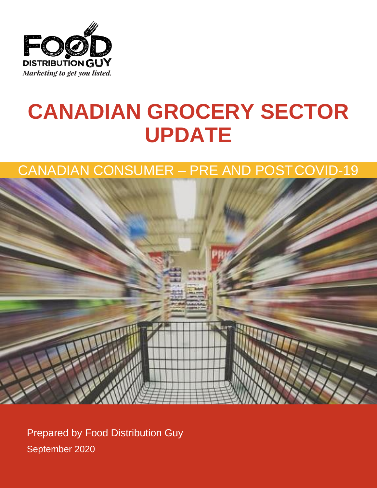

# **CANADIAN GROCERY SECTOR UPDATE**

### CANADIAN CONSUMER – PRE AND POSTCOVID-19



Prepared by Food Distribution Guy September 2020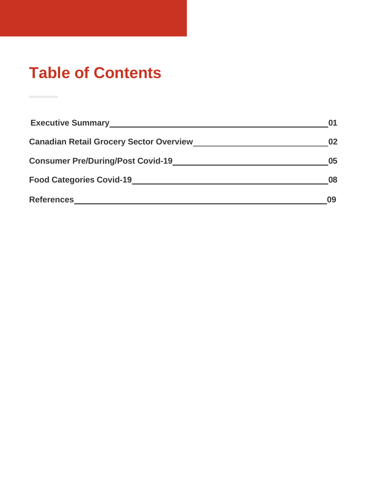## **Table of Contents**

| <b>Executive Summary</b>                       |    |
|------------------------------------------------|----|
| <b>Canadian Retail Grocery Sector Overview</b> | 02 |
| <b>Consumer Pre/During/Post Covid-19</b>       | 05 |
| <b>Food Categories Covid-19</b>                | 08 |
| <b>References</b>                              | Ωā |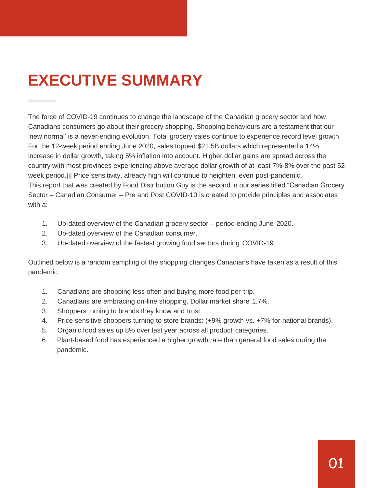## **EXECUTIVE SUMMARY**

The force of COVID-19 continues to change the landscape of the Canadian grocery sector and how Canadians consumers go about their grocery shopping. Shopping behaviours are a testament that our 'new normal' is a never-ending evolution. Total grocery sales continue to experience record level growth. For the 12-week period ending June 2020, sales topped \$21.5B dollars which represented a 14% increase in dollar growth, taking 5% inflation into account. Higher dollar gains are spread across the country with most provinces experiencing above average dollar growth of at least 7%-8% over the past 52 week period.[i] Price sensitivity, already high will continue to heighten, even post-pandemic. This report that was created by Food Distribution Guy is the second in our series titled "Canadian Grocery Sector – Canadian Consumer – Pre and Post COVID-10 is created to provide principles and associates with a:

- 1. Up-dated overview of the Canadian grocery sector period ending June 2020.
- 2. Up-dated overview of the Canadian consumer.
- 3. Up-dated overview of the fastest growing food sectors during COVID-19.

Outlined below is a random sampling of the shopping changes Canadians have taken as a result of this pandemic:

- 1. Canadians are shopping less often and buying more food per trip.
- 2. Canadians are embracing on-line shopping. Dollar market share 1.7%.
- 3. Shoppers turning to brands they know and trust.
- 4. Price sensitive shoppers turning to store brands: (+9% growth vs. +7% for national brands).
- 5. Organic food sales up 8% over last year across all product categories.
- 6. Plant-based food has experienced a higher growth rate than general food sales during the pandemic.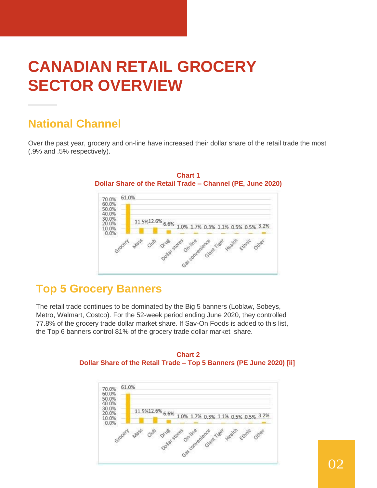## **CANADIAN RETAIL GROCERY SECTOR OVERVIEW**

#### **National Channel**

Over the past year, grocery and on-line have increased their dollar share of the retail trade the most (.9% and .5% respectively).



**Chart 1 Dollar Share of the Retail Trade – Channel (PE, June 2020)**

#### **Top 5 Grocery Banners**

The retail trade continues to be dominated by the Big 5 banners (Loblaw, Sobeys, Metro, Walmart, Costco). For the 52-week period ending June 2020, they controlled 77.8% of the grocery trade dollar market share. If Sav-On Foods is added to this list, the Top 6 banners control 81% of the grocery trade dollar market share.



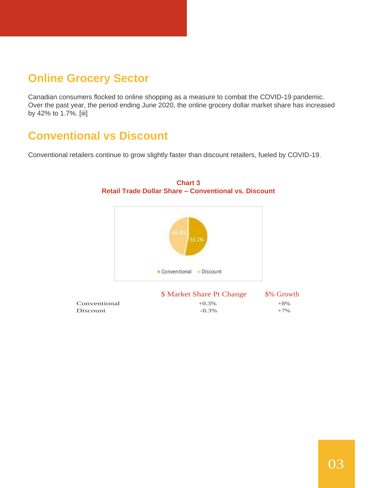### **Online Grocery Sector**

Canadian consumers flocked to online shopping as a measure to combat the COVID-19 pandemic. Over the past year, the period ending June 2020, the online grocery dollar market share has increased by 42% to 1.7%. [iii]

### **Conventional vs Discount**

Conventional retailers continue to grow slightly faster than discount retailers, fueled by COVID-19.



**Chart 3 Retail Trade Dollar Share – Conventional vs. Discount**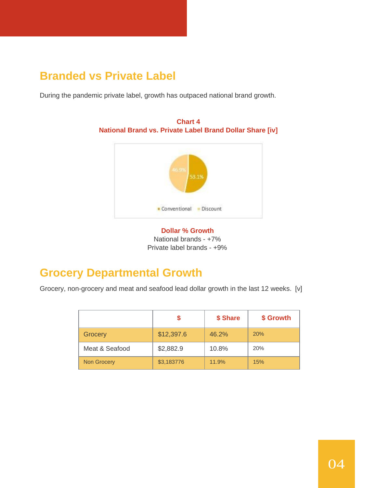### **Branded vs Private Label**

During the pandemic private label, growth has outpaced national brand growth.



**Chart 4 National Brand vs. Private Label Brand Dollar Share [iv]**



### **Grocery Departmental Growth**

Grocery, non-grocery and meat and seafood lead dollar growth in the last 12 weeks. [v]

|                    |            | \$ Share | \$ Growth |
|--------------------|------------|----------|-----------|
| Grocery            | \$12,397.6 | 46.2%    | 20%       |
| Meat & Seafood     | \$2,882.9  | 10.8%    | 20%       |
| <b>Non Grocery</b> | \$3,183776 | 11.9%    | 15%       |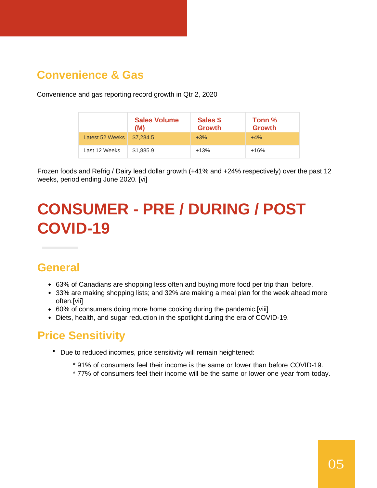#### **Convenience & Gas**

Convenience and gas reporting record growth in Qtr 2, 2020

|                 | <b>Sales Volume</b><br>(M) | Sales \$<br><b>Growth</b> | Tonn %<br><b>Growth</b> |
|-----------------|----------------------------|---------------------------|-------------------------|
| Latest 52 Weeks | \$7,284.5                  | $+3%$                     | $+4%$                   |
| Last 12 Weeks   | \$1,885.9                  | $+13%$                    | $+16%$                  |

Frozen foods and Refrig / Dairy lead dollar growth (+41% and +24% respectively) over the past 12 weeks, period ending June 2020. [vi]

## **CONSUMER - PRE / DURING / POST COVID-19**

#### **General**

- 63% of Canadians are shopping less often and buying more food per trip than before.
- 33% are making shopping lists; and 32% are making a meal plan for the week ahead more often.[vii]
- 60% of consumers doing more home cooking during the pandemic.[viii]
- Diets, health, and sugar reduction in the spotlight during the era of COVID-19.

#### **Price Sensitivity**

- Due to reduced incomes, price sensitivity will remain heightened:
	- \* 91% of consumers feel their income is the same or lower than before COVID-19.
	- \* 77% of consumers feel their income will be the same or lower one year from today.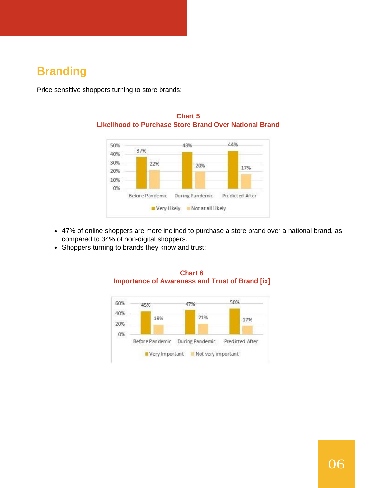### **Branding**

Price sensitive shoppers turning to store brands:



#### **Chart 5 Likelihood to Purchase Store Brand Over National Brand**

- 47% of online shoppers are more inclined to purchase a store brand over a national brand, as compared to 34% of non-digital shoppers.
- Shoppers turning to brands they know and trust:



#### **Chart 6 Importance of Awareness and Trust of Brand [ix]**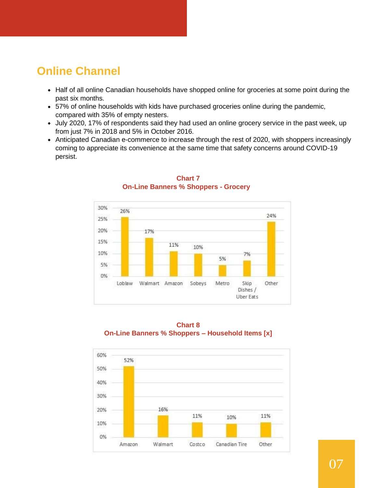#### **Online Channel**

- Half of all online Canadian households have shopped online for groceries at some point during the past six months.
- 57% of online households with kids have purchased groceries online during the pandemic, compared with 35% of empty nesters.
- July 2020, 17% of respondents said they had used an online grocery service in the past week, up from just 7% in 2018 and 5% in October 2016.
- Anticipated Canadian e-commerce to increase through the rest of 2020, with shoppers increasingly coming to appreciate its convenience at the same time that safety concerns around COVID-19 persist.



#### **Chart 7 On-Line Banners % Shoppers - Grocery**



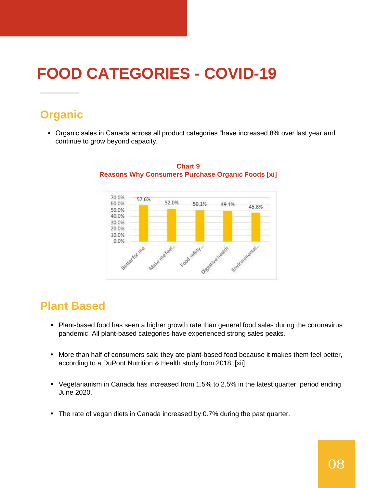## **FOOD CATEGORIES - COVID-19**

### **Organic**

Organic sales in Canada across all product categories "have increased 8% over last year and continue to grow beyond capacity.



#### **Chart 9 Reasons Why Consumers Purchase Organic Foods [xi]**

#### **Plant Based**

- Plant-based food has seen a higher growth rate than general food sales during the coronavirus pandemic. All plant-based categories have experienced strong sales peaks.
- More than half of consumers said they ate plant-based food because it makes them feel better, according to a DuPont Nutrition & Health study from 2018. [xii]
- Vegetarianism in Canada has increased from 1.5% to 2.5% in the latest quarter, period ending June 2020.
- The rate of vegan diets in Canada increased by 0.7% during the past quarter.